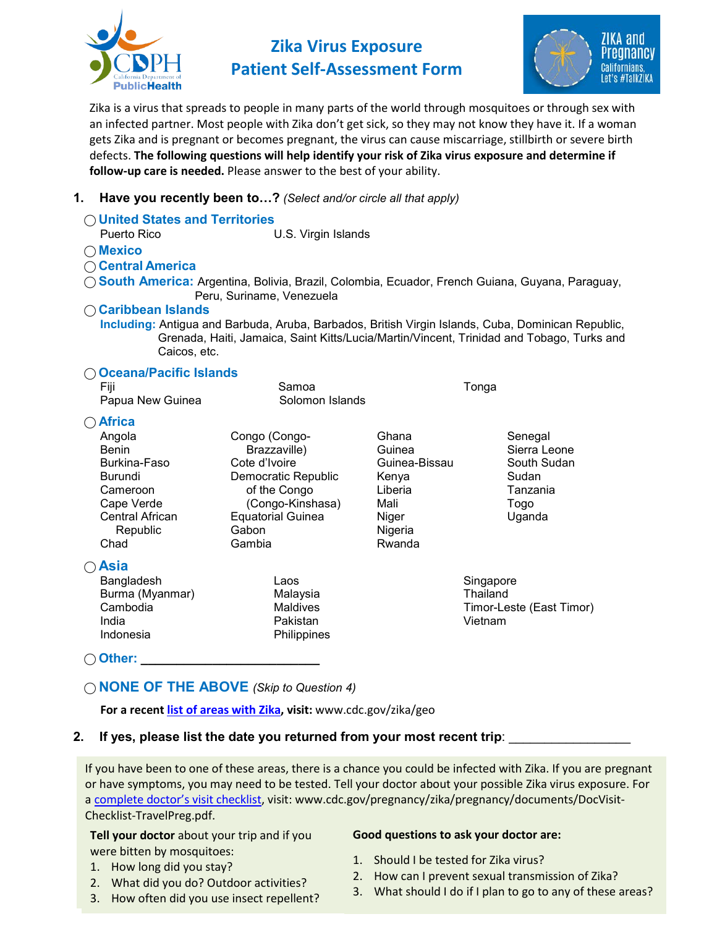

**Zika Virus Exposure Patient Self-Assessment Form**



Zika is a virus that spreads to people in many parts of the world through mosquitoes or through sex with an infected partner. Most people with Zika don't get sick, so they may not know they have it. If a woman gets Zika and is pregnant or becomes pregnant, the virus can cause miscarriage, stillbirth or severe birth defects. **The following questions will help identify your risk of Zika virus exposure and determine if follow-up care is needed.** Please answer to the best of your ability.

## **1. Have you recently been to…?** *(Select and/or circle all that apply)*

| <b>United States and Territories</b> |                                     |                  |                                                                                                                                                                                                 |  |
|--------------------------------------|-------------------------------------|------------------|-------------------------------------------------------------------------------------------------------------------------------------------------------------------------------------------------|--|
| Puerto Rico                          | U.S. Virgin Islands                 |                  |                                                                                                                                                                                                 |  |
| $\bigcap$ Mexico                     |                                     |                  |                                                                                                                                                                                                 |  |
| ○ Central America                    |                                     |                  |                                                                                                                                                                                                 |  |
|                                      | Peru, Suriname, Venezuela           |                  | ◯ South America: Argentina, Bolivia, Brazil, Colombia, Ecuador, French Guiana, Guyana, Paraguay,                                                                                                |  |
| <b>Caribbean Islands</b>             |                                     |                  |                                                                                                                                                                                                 |  |
| Caicos, etc.                         |                                     |                  | Including: Antigua and Barbuda, Aruba, Barbados, British Virgin Islands, Cuba, Dominican Republic,<br>Grenada, Haiti, Jamaica, Saint Kitts/Lucia/Martin/Vincent, Trinidad and Tobago, Turks and |  |
| <b>Oceana/Pacific Islands</b>        |                                     |                  |                                                                                                                                                                                                 |  |
| Fiji                                 | Samoa                               |                  | Tonga                                                                                                                                                                                           |  |
| Papua New Guinea                     | Solomon Islands                     |                  |                                                                                                                                                                                                 |  |
| $\bigcap$ Africa                     |                                     |                  |                                                                                                                                                                                                 |  |
| Angola                               | Congo (Congo-                       | Ghana            | Senegal                                                                                                                                                                                         |  |
| <b>Benin</b>                         | Brazzaville)                        | Guinea           | Sierra Leone                                                                                                                                                                                    |  |
| Burkina-Faso                         | Cote d'Ivoire                       | Guinea-Bissau    | South Sudan                                                                                                                                                                                     |  |
| <b>Burundi</b><br>Cameroon           | Democratic Republic<br>of the Congo | Kenya<br>Liberia | Sudan<br>Tanzania                                                                                                                                                                               |  |
| Cape Verde                           | (Congo-Kinshasa)                    | Mali             | Togo                                                                                                                                                                                            |  |
| Central African                      | <b>Equatorial Guinea</b>            | Niger            | Uganda                                                                                                                                                                                          |  |
| Republic                             | Gabon                               | Nigeria          |                                                                                                                                                                                                 |  |
| Chad                                 | Gambia                              | Rwanda           |                                                                                                                                                                                                 |  |
| $\bigcirc$ Asia                      |                                     |                  |                                                                                                                                                                                                 |  |
| Bangladesh                           | Laos                                |                  | Singapore                                                                                                                                                                                       |  |
| Burma (Myanmar)                      | Malaysia                            |                  | Thailand                                                                                                                                                                                        |  |
| Cambodia                             | <b>Maldives</b>                     |                  | Timor-Leste (East Timor)                                                                                                                                                                        |  |
| India                                | Pakistan                            |                  | Vietnam                                                                                                                                                                                         |  |
| Indonesia                            | Philippines                         |                  |                                                                                                                                                                                                 |  |

◯ Other: **\_** 

## **⃝ NONE OF THE ABOVE** *(Skip to Question 4)*

**For a recent [list of areas with Zika,](http://www.cdc.gov/zika/geo/) visit:** www.cdc.gov/zika/geo

## **2. If yes, please list the date you returned from your most recent trip**: \_\_\_\_\_\_\_\_\_\_\_\_\_\_\_\_\_

If you have been to one of these areas, there is a chance you could be infected with Zika. If you are pregnant or have symptoms, you may need to be tested. Tell your doctor about your possible Zika virus exposure. For a [complete doctor's visit checklist,](https://www.cdc.gov/pregnancy/zika/pregnancy/documents/DocVisit-Checklist-TravelPreg.pdf) visit: www.cdc.gov/pregnancy/zika/pregnancy/documents/DocVisit-Checklist-TravelPreg.pdf.

**Tell your doctor** about your trip and if you were bitten by mosquitoes:

- 1. How long did you stay?
- 2. What did you do? Outdoor activities?
- 3. How often did you use insect repellent?

## **Good questions to ask your doctor are:**

- 1. Should I be tested for Zika virus?
- 2. How can I prevent sexual transmission of Zika?
- 3. What should I do if I plan to go to any of these areas?